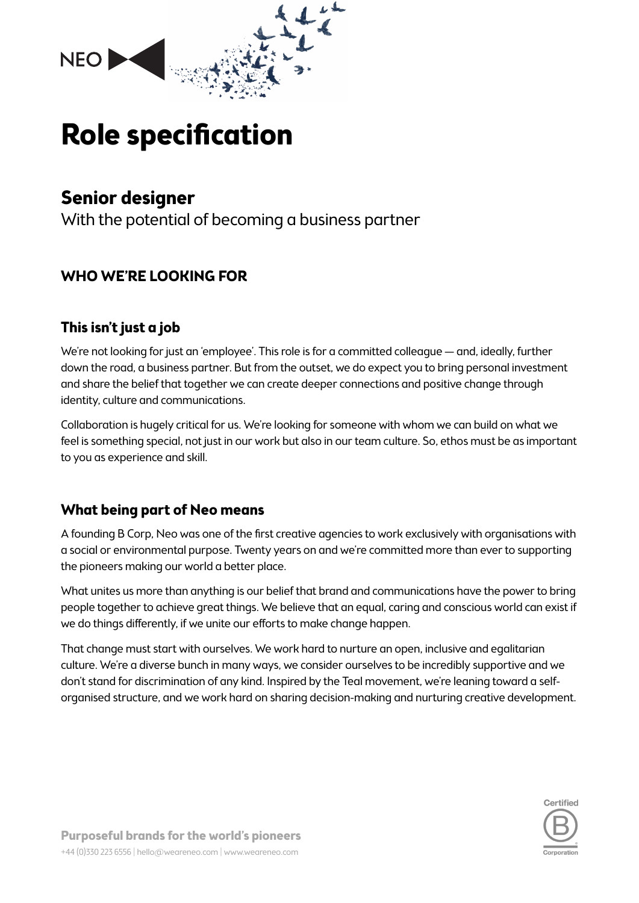

# **Role specification**

## **Senior designer**

With the potential of becoming a business partner

## **WHO WE'RE LOOKING FOR**

## **This isn't just a job**

We're not looking for just an 'employee'. This role is for a committed colleague — and, ideally, further down the road, a business partner. But from the outset, we do expect you to bring personal investment and share the belief that together we can create deeper connections and positive change through identity, culture and communications.

Collaboration is hugely critical for us. We're looking for someone with whom we can build on what we feel is something special, not just in our work but also in our team culture. So, ethos must be as important to you as experience and skill.

## **What being part of Neo means**

A founding B Corp, Neo was one of the first creative agencies to work exclusively with organisations with a social or environmental purpose. Twenty years on and we're committed more than ever to supporting the pioneers making our world a better place.

What unites us more than anything is our belief that brand and communications have the power to bring people together to achieve great things. We believe that an equal, caring and conscious world can exist if we do things differently, if we unite our efforts to make change happen.

That change must start with ourselves. We work hard to nurture an open, inclusive and egalitarian culture. We're a diverse bunch in many ways, we consider ourselves to be incredibly supportive and we don't stand for discrimination of any kind. Inspired by the Teal movement, we're leaning toward a selforganised structure, and we work hard on sharing decision-making and nurturing creative development.

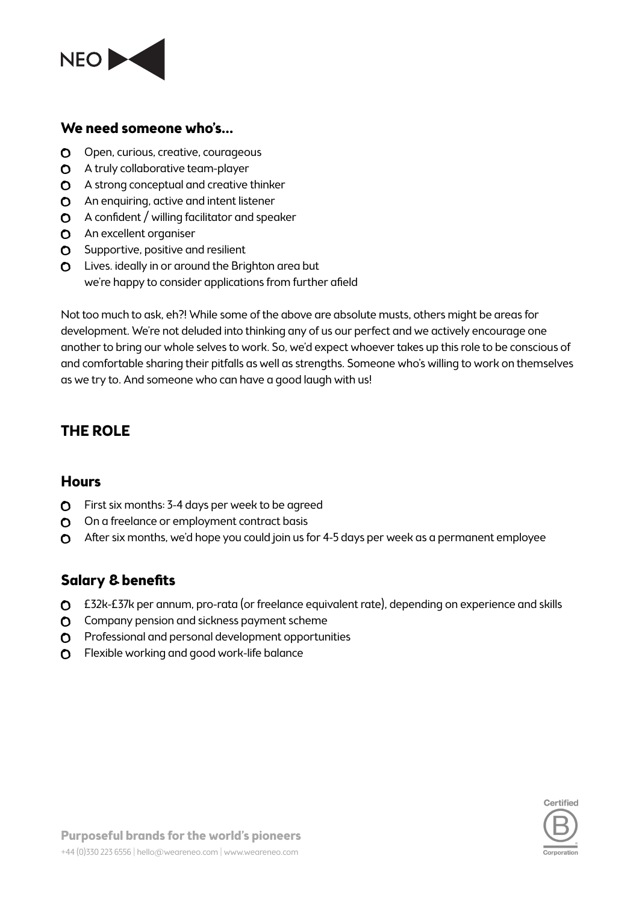

#### **We need someone who's…**

- O Open, curious, creative, courageous
- **O** A truly collaborative team-player
- $\Omega$  A strong conceptual and creative thinker
- **C** An enquiring, active and intent listener
- $\bullet$  A confident / willing facilitator and speaker
- **C** An excellent organiser
- **O** Supportive, positive and resilient
- **O** Lives. ideally in or around the Brighton area but we're happy to consider applications from further afield

Not too much to ask, eh?! While some of the above are absolute musts, others might be areas for development. We're not deluded into thinking any of us our perfect and we actively encourage one another to bring our whole selves to work. So, we'd expect whoever takes up this role to be conscious of and comfortable sharing their pitfalls as well as strengths. Someone who's willing to work on themselves as we try to. And someone who can have a good laugh with us!

## **THE ROLE**

#### **Hours**

- First six months: 3-4 days per week to be agreed
- O On a freelance or employment contract basis
- After six months, we'd hope you could join us for 4-5 days per week as a permanent employee

#### **Salary & benefits**

- £32k-£37k per annum, pro-rata (or freelance equivalent rate), depending on experience and skills
- **O** Company pension and sickness payment scheme
- **O** Professional and personal development opportunities
- **O** Flexible working and good work-life balance

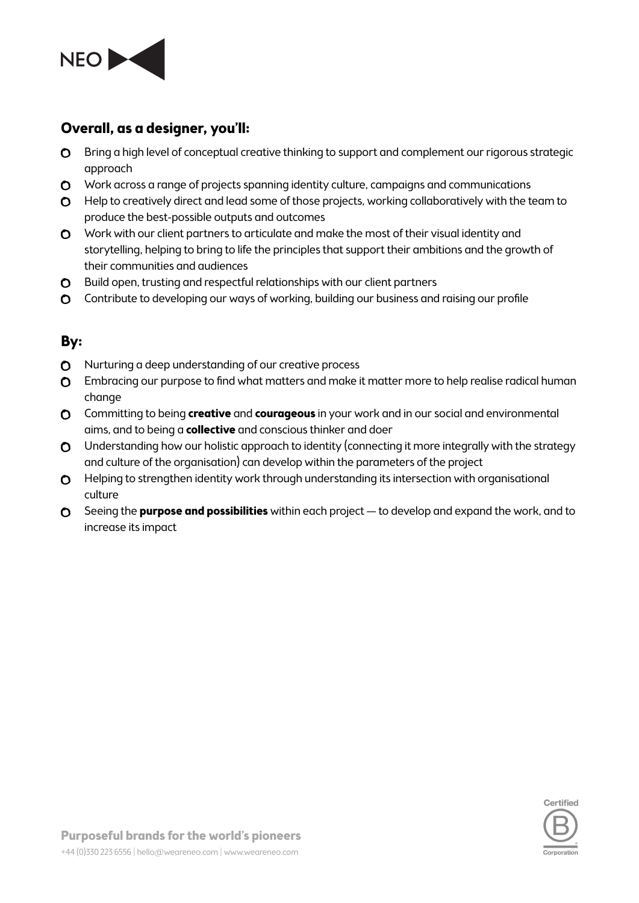

## **Overall, as a designer, you'll:**

- **O** Bring a high level of conceptual creative thinking to support and complement our rigorous strategic approach
- O Work across a range of projects spanning identity culture, campaigns and communications
- **O** Help to creatively direct and lead some of those projects, working collaboratively with the team to produce the best-possible outputs and outcomes
- O Work with our client partners to articulate and make the most of their visual identity and storytelling, helping to bring to life the principles that support their ambitions and the growth of their communities and audiences
- **C** Build open, trusting and respectful relationships with our client partners
- Contribute to developing our ways of working, building our business and raising our profile

### **By:**

- **O** Nurturing a deep understanding of our creative process
- **O** Embracing our purpose to find what matters and make it matter more to help realise radical human change
- Committing to being **creative** and **courageous** in your work and in our social and environmental aims, and to being a **collective** and conscious thinker and doer
- **O** Understanding how our holistic approach to identity (connecting it more integrally with the strategy and culture of the organisation) can develop within the parameters of the project
- **O** Helping to strengthen identity work through understanding its intersection with organisational culture
- Seeing the **purpose and possibilities** within each project to develop and expand the work, and to increase its impact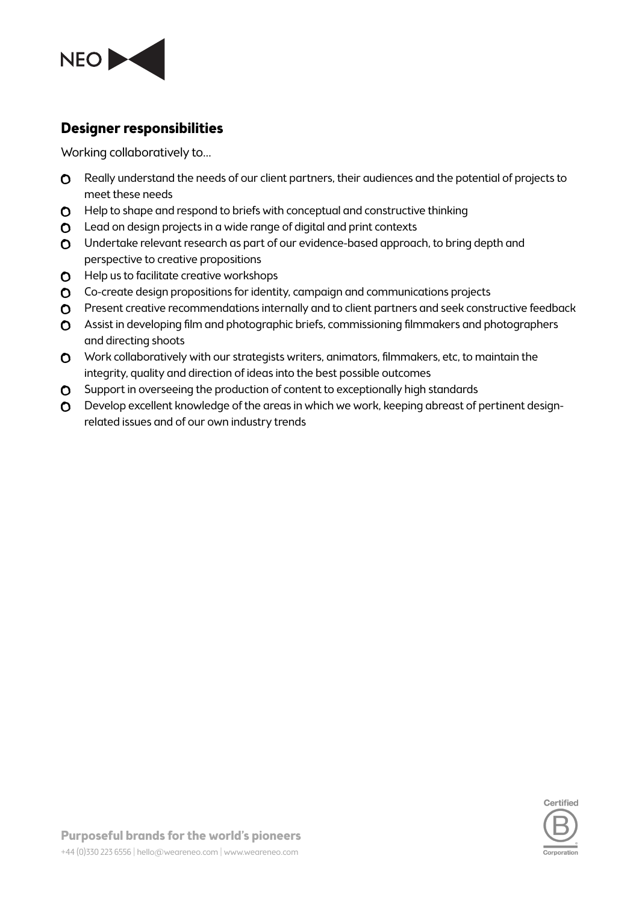

#### **Designer responsibilities**

Working collaboratively to…

- **O** Really understand the needs of our client partners, their audiences and the potential of projects to meet these needs
- **O** Help to shape and respond to briefs with conceptual and constructive thinking
- **O** Lead on design projects in a wide range of digital and print contexts
- Undertake relevant research as part of our evidence-based approach, to bring depth and perspective to creative propositions
- **O** Help us to facilitate creative workshops
- Co-create design propositions for identity, campaign and communications projects
- **O** Present creative recommendations internally and to client partners and seek constructive feedback
- Assist in developing film and photographic briefs, commissioning filmmakers and photographers and directing shoots
- O Work collaboratively with our strategists writers, animators, filmmakers, etc, to maintain the integrity, quality and direction of ideas into the best possible outcomes
- **O** Support in overseeing the production of content to exceptionally high standards
- Develop excellent knowledge of the areas in which we work, keeping abreast of pertinent designrelated issues and of our own industry trends